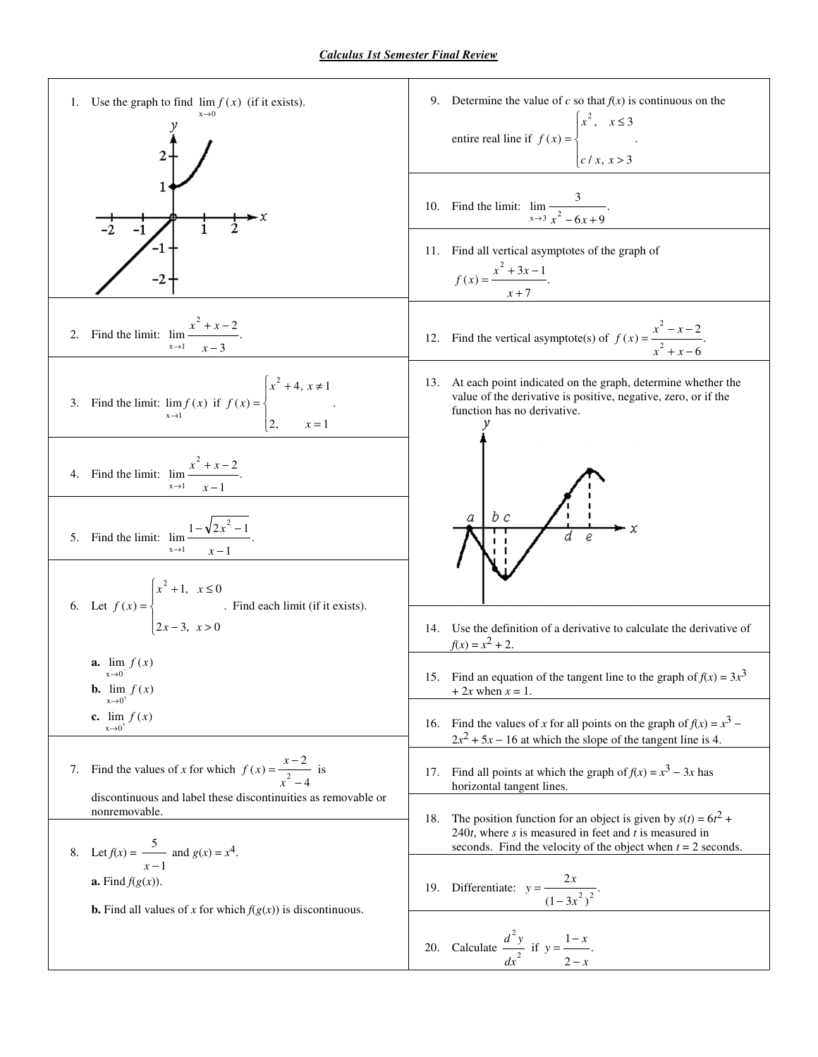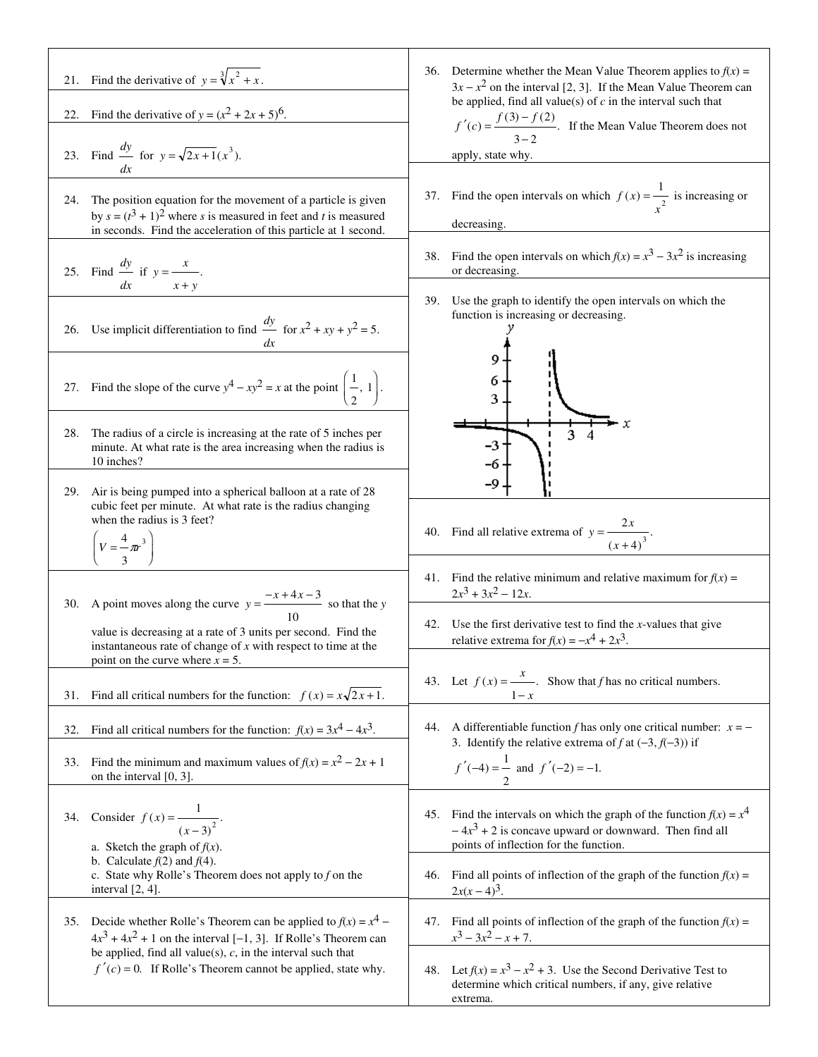| 22. | 21. Find the derivative of $y = \sqrt[3]{x^2 + x}$ .<br>Find the derivative of $y = (x^2 + 2x + 5)^6$ .<br>23. Find $\frac{dy}{dx}$ for $y = \sqrt{2x+1}(x^3)$ .                                       | Determine whether the Mean Value Theorem applies to $f(x) =$<br>36.<br>$3x - x^2$ on the interval [2, 3]. If the Mean Value Theorem can<br>be applied, find all value(s) of $c$ in the interval such that<br>$f'(c) = \frac{f(3) - f(2)}{3 - 2}$ . If the Mean Value Theorem does not |
|-----|--------------------------------------------------------------------------------------------------------------------------------------------------------------------------------------------------------|---------------------------------------------------------------------------------------------------------------------------------------------------------------------------------------------------------------------------------------------------------------------------------------|
|     |                                                                                                                                                                                                        | apply, state why.                                                                                                                                                                                                                                                                     |
| 24. | The position equation for the movement of a particle is given<br>by $s = (t^3 + 1)^2$ where s is measured in feet and t is measured<br>in seconds. Find the acceleration of this particle at 1 second. | 37. Find the open intervals on which $f(x) = \frac{1}{x^2}$ is increasing or<br>decreasing.                                                                                                                                                                                           |
|     | 25. Find $\frac{dy}{dx}$ if $y = \frac{x}{x}$ .<br>$dx =$<br>$x + y$                                                                                                                                   | Find the open intervals on which $f(x) = x^3 - 3x^2$ is increasing<br>38.<br>or decreasing.                                                                                                                                                                                           |
|     | 26. Use implicit differentiation to find $\frac{dy}{dx}$ for $x^2 + xy + y^2 = 5$ .                                                                                                                    | Use the graph to identify the open intervals on which the<br>39.<br>function is increasing or decreasing.                                                                                                                                                                             |
|     | 27. Find the slope of the curve $y^4 - xy^2 = x$ at the point $\left(\frac{1}{2}, 1\right)$ .                                                                                                          | 6<br>3                                                                                                                                                                                                                                                                                |
| 28. | The radius of a circle is increasing at the rate of 5 inches per<br>minute. At what rate is the area increasing when the radius is<br>10 inches?                                                       | 3<br>$-3$<br>-6                                                                                                                                                                                                                                                                       |
| 29. | Air is being pumped into a spherical balloon at a rate of 28<br>cubic feet per minute. At what rate is the radius changing<br>when the radius is 3 feet?                                               | -9<br>40. Find all relative extrema of $y = \frac{2x}{(x+4)^3}$ .                                                                                                                                                                                                                     |
|     | $V = \frac{4}{3}\pi r^3$                                                                                                                                                                               |                                                                                                                                                                                                                                                                                       |
|     | 30. A point moves along the curve $y = \frac{-x + 4x - 3}{x}$ so that the y                                                                                                                            | 41. Find the relative minimum and relative maximum for $f(x) =$<br>$2x^3 + 3x^2 - 12x$ .                                                                                                                                                                                              |
|     | value is decreasing at a rate of 3 units per second. Find the<br>instantaneous rate of change of $x$ with respect to time at the<br>point on the curve where $x = 5$ .                                 | 42. Use the first derivative test to find the $x$ -values that give<br>relative extrema for $f(x) = -x^4 + 2x^3$ .                                                                                                                                                                    |
| 31. | Find all critical numbers for the function: $f(x) = x\sqrt{2x+1}$ .                                                                                                                                    | 43. Let $f(x) = \frac{x}{x}$ . Show that f has no critical numbers.<br>$1-x$                                                                                                                                                                                                          |
| 32. | Find all critical numbers for the function: $f(x) = 3x^4 - 4x^3$ .                                                                                                                                     | A differentiable function f has only one critical number: $x = -$<br>44.<br>3. Identify the relative extrema of f at $(-3, f(-3))$ if                                                                                                                                                 |
| 33. | Find the minimum and maximum values of $f(x) = x^2 - 2x + 1$<br>on the interval $[0, 3]$ .                                                                                                             | $f'(-4) = \frac{1}{2}$ and $f'(-2) = -1$ .                                                                                                                                                                                                                                            |
| 34. | Consider $f(x) = \frac{1}{(x-3)^2}$ .<br>a. Sketch the graph of $f(x)$ .                                                                                                                               | 45. Find the intervals on which the graph of the function $f(x) = x^4$<br>$-4x3 + 2$ is concave upward or downward. Then find all<br>points of inflection for the function.                                                                                                           |
|     | b. Calculate $f(2)$ and $f(4)$ .<br>c. State why Rolle's Theorem does not apply to $f$ on the<br>interval $[2, 4]$ .                                                                                   | Find all points of inflection of the graph of the function $f(x)$ =<br>46.<br>$2x(x-4)^3$ .                                                                                                                                                                                           |
|     | 35. Decide whether Rolle's Theorem can be applied to $f(x) = x^4$ –<br>$4x^3 + 4x^2 + 1$ on the interval [-1, 3]. If Rolle's Theorem can                                                               | 47. Find all points of inflection of the graph of the function $f(x) =$<br>$x^3 - 3x^2 - x + 7$ .                                                                                                                                                                                     |
|     | be applied, find all value(s), $c$ , in the interval such that<br>$f'(c) = 0$ . If Rolle's Theorem cannot be applied, state why.                                                                       | 48. Let $f(x) = x^3 - x^2 + 3$ . Use the Second Derivative Test to<br>determine which critical numbers, if any, give relative<br>extrema.                                                                                                                                             |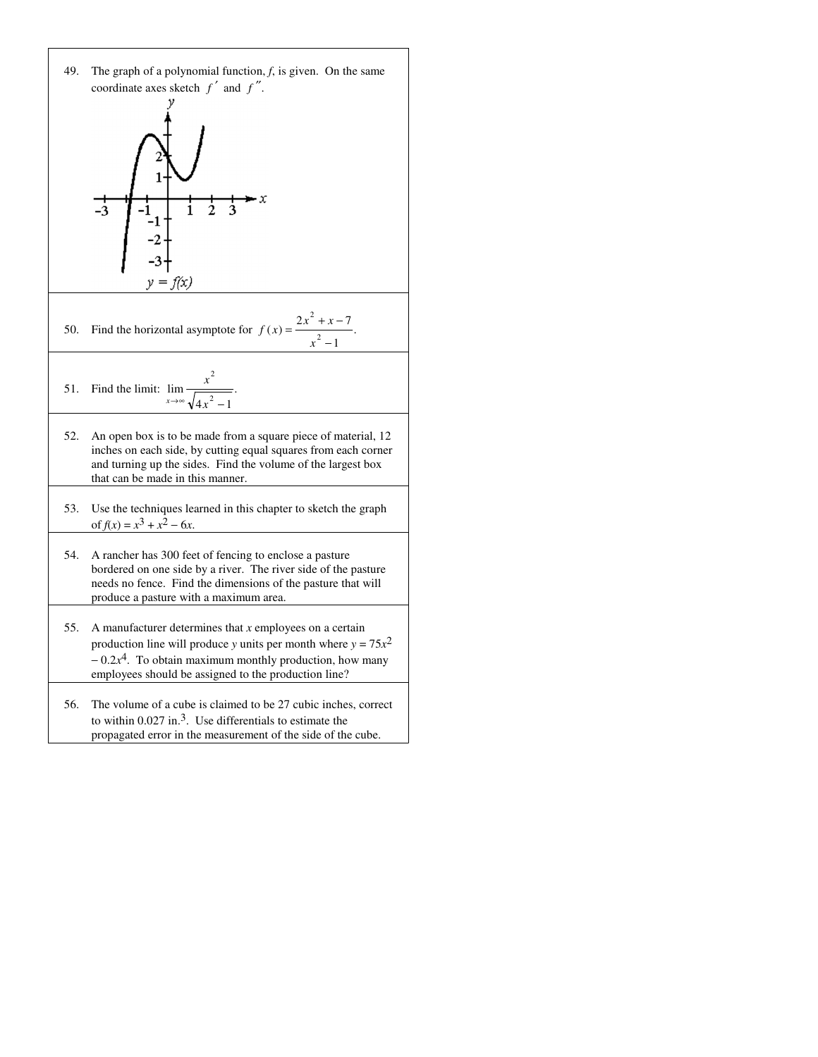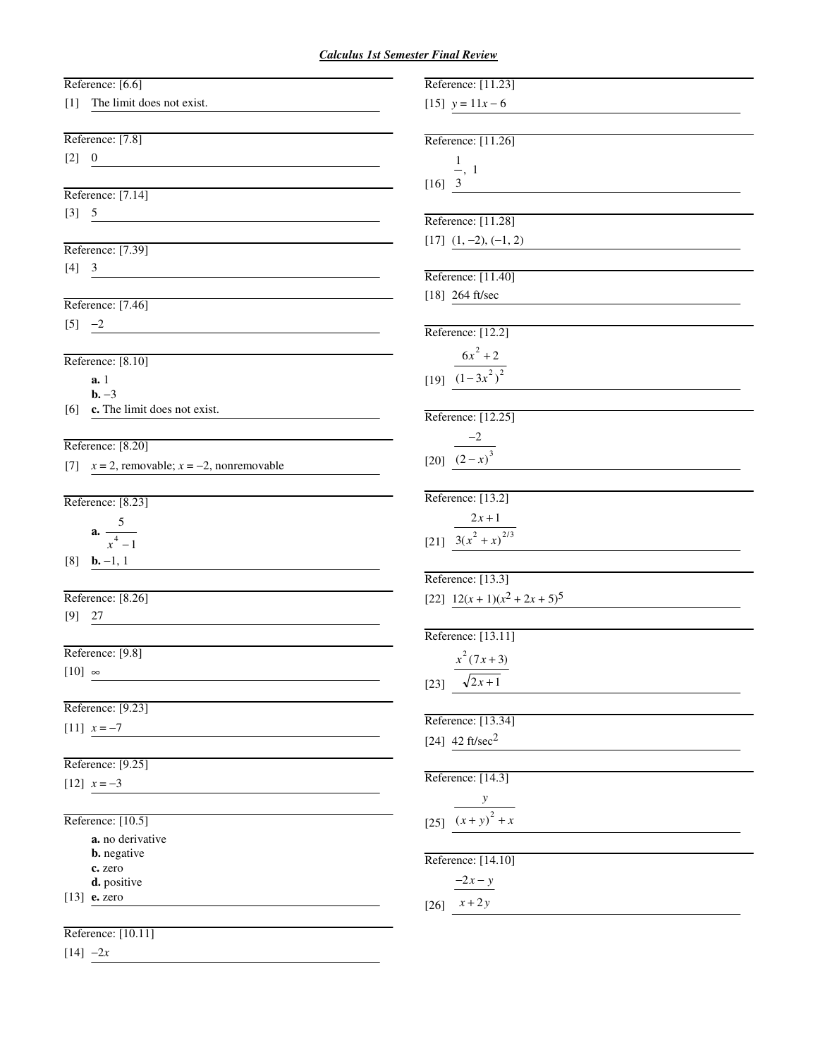#### *Calculus 1st Semester Final Review*

| Reference: [6.6]                                                        | Reference: [11.23]             |
|-------------------------------------------------------------------------|--------------------------------|
| [1] The limit does not exist.                                           | [15] $y = 11x - 6$             |
|                                                                         |                                |
| Reference: [7.8]                                                        | Reference: [11.26]             |
| $[2] \quad 0$<br><u> 1989 - Johann Barbara, martxa alemaniar a</u>      | $\frac{1}{2}$ , 1              |
|                                                                         | $[16]$ 3                       |
| Reference: [7.14]                                                       |                                |
| $[3] \quad 5 \qquad \qquad \underbrace{\qquad \qquad }$                 | Reference: [11.28]             |
|                                                                         | $[17]$ $(1, -2), (-1, 2)$      |
| Reference: [7.39]                                                       |                                |
| $[4] \quad 3$<br><u> 1980 - Andrea Andrew Maria (h. 1980).</u>          | Reference: [11.40]             |
|                                                                         |                                |
| Reference: [7.46]                                                       | [18] 264 ft/sec                |
| $[5] -2$<br><u> 1980 - Andrea Station, amerikansk politik (d. 1980)</u> |                                |
|                                                                         | Reference: [12.2]              |
| Reference: [8.10]                                                       | $\frac{6x^2+2}{(1-3x^2)^2}$    |
| a.1                                                                     |                                |
| $b. -3$                                                                 |                                |
| $[6]$ <b>c.</b> The limit does not exist.                               |                                |
|                                                                         | Reference: [12.25]             |
| Reference: [8.20]                                                       | $\frac{-2}{(2- x)^3}$          |
| [7] $x = 2$ , removable; $x = -2$ , nonremovable                        |                                |
|                                                                         |                                |
| Reference: [8.23]                                                       | Reference: [13.2]              |
|                                                                         | $2x + 1$                       |
| <b>a.</b> $\frac{5}{x^4-1}$                                             | [21] $3(x^2 + x)^{2/3}$        |
|                                                                         |                                |
| $[8]$ <b>b.</b> -1, 1                                                   |                                |
|                                                                         | Reference: [13.3]              |
| Reference: [8.26]                                                       | [22] $12(x + 1)(x2 + 2x + 5)5$ |
| $[9]$ 27                                                                |                                |
|                                                                         | Reference: [13.11]             |
| Reference: [9.8]                                                        | $x^2(7x+3)$                    |
| $[10]$ $\infty$                                                         |                                |
|                                                                         | $\sqrt{2x+1}$<br>$[23]$        |
| Reference: [9.23]                                                       |                                |
| [11] $x = -7$                                                           | Reference: [13.34]             |
|                                                                         | [24] $42 \text{ ft/sec}^2$     |
| Reference: [9.25]                                                       |                                |
| [12] $x = -3$                                                           | Reference: [14.3]              |
|                                                                         |                                |
| Reference: [10.5]                                                       | $\frac{1}{(x+y)^2+x}$          |
| a. no derivative                                                        |                                |
| <b>b.</b> negative                                                      |                                |
| c. zero                                                                 | Reference: [14.10]             |
| d. positive                                                             | $-2x-y$                        |
| $[13]$ <b>e.</b> zero                                                   | $[26]$ $x+2y$                  |
|                                                                         |                                |
| Reference: [10.11]                                                      |                                |
| $[14] -2x$                                                              |                                |
|                                                                         |                                |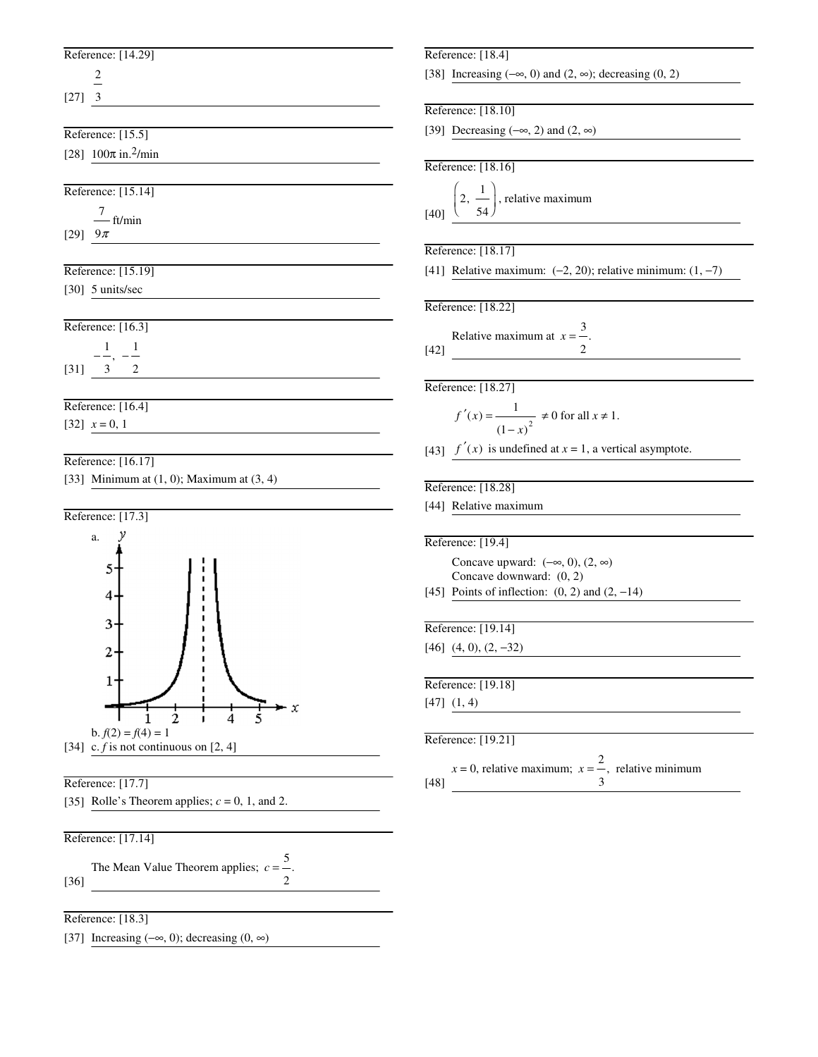# Reference: [14.29]

2

[27] 3

Reference: [15.5]

[28]  $100\pi$  in.<sup>2</sup>/min

|      | Reference: [15.14] |
|------|--------------------|
|      | — ft/min           |
| [29] | $9\pi$             |

| Reference: [15.19] |  |
|--------------------|--|

[30] 5 units/sec

| Reference: [16.3] |  |  |  |
|-------------------|--|--|--|
|                   |  |  |  |
| [31]              |  |  |  |
|                   |  |  |  |

# Reference: [16.4]

[32]  $x = 0, 1$ 

## Reference: [16.17]

[33] Minimum at  $(1, 0)$ ; Maximum at  $(3, 4)$ 



## Reference: [17.7]

[35] Rolle's Theorem applies;  $c = 0$ , 1, and 2.

# Reference: [17.14]

[36] The Mean Value Theorem applies;  $c = -$ . 5 2

#### Reference: [18.3]

[37] Increasing (−∞, 0); decreasing (0, ∞)

#### Reference: [18.4]

[38] Increasing  $(-\infty, 0)$  and  $(2, \infty)$ ; decreasing  $(0, 2)$ 

## Reference: [18.10]

[39] Decreasing  $(-\infty, 2)$  and  $(2, \infty)$ 

#### Reference: [18.16]

| [40] |  | , relative maximum |
|------|--|--------------------|
|      |  |                    |

# Reference: [18.17]

[41] Relative maximum:  $(-2, 20)$ ; relative minimum:  $(1, -7)$ 

### Reference: [18.22]

[42] Relative maximum at  $x = \frac{3}{3}$ 2 .

Reference: [18.27]

$$
f'(x) = \frac{1}{(1-x)^2} \neq 0
$$
 for all  $x \neq 1$ .

[43]  $f'(x)$  is undefined at  $x = 1$ , a vertical asymptote.

#### Reference: [18.28]

[44] Relative maximum

#### Reference: [19.4]

[45] Points of inflection: (0, 2) and (2, −14) Concave upward:  $(-\infty, 0)$ ,  $(2, \infty)$ Concave downward: (0, 2)

Reference: [19.14]

[46] (4, 0), (2, −32)

Reference: [19.18] [47] (1, 4)

#### Reference: [19.21]

[48]  $x = 0$ , relative maximum;  $x = -\frac{2}{x}$ 3 , relative minimum